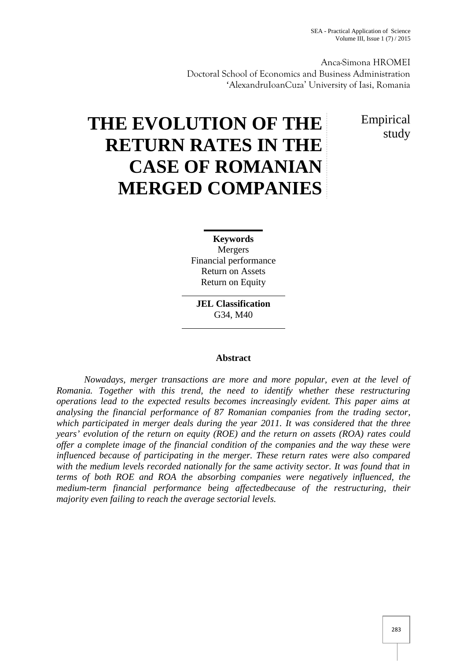Anca-Simona HROMEI Doctoral School of Economics and Business Administration 'AlexandruIoanCuza' University of Iasi, Romania

> Empirical study

# **THE EVOLUTION OF THE RETURN RATES IN THE CASE OF ROMANIAN MERGED COMPANIES**

**Keywords** Mergers Financial performance Return on Assets Return on Equity

**JEL Classification** G34, M40

# **Abstract**

*Nowadays, merger transactions are more and more popular, even at the level of Romania. Together with this trend, the need to identify whether these restructuring operations lead to the expected results becomes increasingly evident. This paper aims at analysing the financial performance of 87 Romanian companies from the trading sector, which participated in merger deals during the year 2011. It was considered that the three years' evolution of the return on equity (ROE) and the return on assets (ROA) rates could offer a complete image of the financial condition of the companies and the way these were influenced because of participating in the merger. These return rates were also compared with the medium levels recorded nationally for the same activity sector. It was found that in terms of both ROE and ROA the absorbing companies were negatively influenced, the medium-term financial performance being affectedbecause of the restructuring, their majority even failing to reach the average sectorial levels.*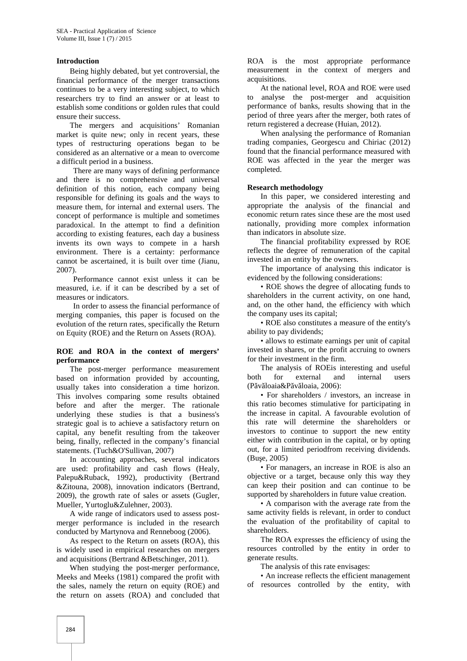#### **Introduction**

Being highly debated, but yet controversial, the financial performance of the merger transactions continues to be a very interesting subject, to which<br>researchers try to find an answer or at least to researchers try to find an answer or at least to establish some conditions or golden rules that could ensure their success.

The mergers and acquisitions' Romanian market is quite new; only in recent years, these types of restructuring operations began to be considered as an alternative or a mean to overcome a difficult period in a business.

There are many ways of defining performance and there is no comprehensive and universal definition of this notion, each company being responsible for defining its goals and the ways to measure them, for internal and external users. The concept of performance is multiple and sometimes paradoxical. In the attempt to find a definition according to existing features, each day a business invents its own ways to compete in a harsh environment. There is a certainty: performance cannot be ascertained, it is built over time (Jianu, 2007).

Performance cannot exist unless it can be measured, i.e. if it can be described by a set of measures or indicators.

In order to assess the financial performance of merging companies, this paper is focused on the evolution of the return rates, specifically the Return on Equity (ROE) and the Return on Assets (ROA).

#### **ROE and ROA in the context of mergers' performance**

The post-merger performance measurement based on information provided by accounting, usually takes into consideration a time horizon. This involves comparing some results obtained before and after the merger. The rationale underlying these studies is that a business's strategic goal is to achieve a satisfactory return on capital, any benefit resulting from the takeover being, finally, reflected in the company's financial statements. (Tuch&O'Sullivan, 2007)

In accounting approaches, several indicators are used: profitability and cash flows (Healy, Palepu&Ruback, 1992), productivity (Bertrand &Zitouna, 2008), innovation indicators (Bertrand, 2009), the growth rate of sales or assets (Gugler, Mueller, Yurtoglu&Zulehner, 2003).

A wide range of indicators used to assess post merger performance is included in the research conducted by Martynova and Renneboog (2006).

As respect to the Return on assets (ROA), this is widely used in empirical researches on mergers and acquisitions (Bertrand &Betschinger, 2011).

When studying the post-merger performance, Meeks and Meeks (1981) compared the profit with the sales, namely the return on equity (ROE) and the return on assets (ROA) and concluded that ROA is the most appropriate performance measurement in the context of mergers and acquisitions.

At the national level, ROA and ROE were used analyse the post-merger and acquisition performance of banks, results showing that in the period of three years after the merger, both rates of return registered a decrease (Huian, 2012).

When analysing the performance of Romanian trading companies, Georgescu and Chiriac (2012) found that the financial performance measured with ROE was affected in the year the merger was completed.

#### **Research methodology**

In this paper, we considered interesting and appropriate the analysis of the financial and economic return rates since these are the most used nationally, providing more complex information than indicators in absolute size.

The financial profitability expressed by ROE reflects the degree of remuneration of the capital invested in an entity by the owners.

The importance of analysing this indicator is evidenced by the following considerations:

• ROE shows the degree of allocating funds to shareholders in the current activity, on one hand, and, on the other hand, the efficiency with which the company uses its capital;

• ROE also constitutes a measure of the entity's ability to pay dividends;

• allows to estimate earnings per unit of capital invested in shares, or the profit accruing to owners for their investment in the firm.

The analysis of ROEis interesting and useful both for external and internal users  $(P \text{ v } \text{loaia&P} \text{ v } \text{loaia, 2006})$ :

• For shareholders / investors, an increase in this ratio becomes stimulative for participating in the increase in capital. A favourable evolution of this rate will determine the shareholders or investors to continue to support the new entity either with contribution in the capital, or by opting out, for a limited periodfrom receiving dividends. (Bu e, 2005)

• For managers, an increase in ROE is also an objective or a target, because only this way they can keep their position and can continue to be supported by shareholders in future value creation.

• A comparison with the average rate from the same activity fields is relevant, in order to conduct the evaluation of the profitability of capital to shareholders.

The ROA expresses the efficiency of using the resources controlled by the entity in order to generate results.

The analysis of this rate envisages:

• An increase reflects the efficient management of resources controlled by the entity, with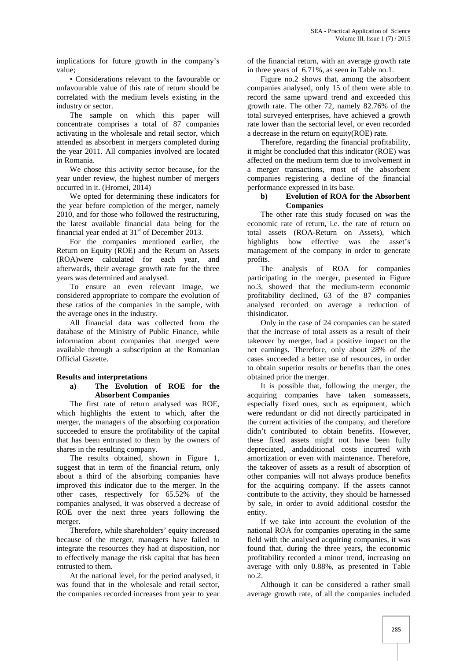implications for future growth in the company's value;

• Considerations relevant to the favourable or unfavourable value of this rate of return should be correlated with the medium levels existing in the industry or sector.

The sample on which this paper will concentrate comprises a total of 87 companies activating in the wholesale and retail sector, which attended as absorbent in mergers completed during the year 2011. All companies involved are located in Romania.

We chose this activity sector because, for the year under review, the highest number of mergers occurred in it. (Hromei, 2014)

We opted for determining these indicators for the year before completion of the merger, namely 2010, and for those who followed the restructuring, the latest available financial data being for the financial year ended at  $31<sup>st</sup>$  of December 2013.

For the companies mentioned earlier, the Return on Equity (ROE) and the Return on Assets (ROA)were calculated for each year, and afterwards, their average growth rate for the three years was determined and analysed.

To ensure an even relevant image, we considered appropriate to compare the evolution of these ratios of the companies in the sample, with the average ones in the industry.

All financial data was collected from the database of the Ministry of Public Finance, while information about companies that merged were available through a subscription at the Romanian Official Gazette.

### **Results and interpretations**

#### **a) The Evolution of ROE for the Absorbent Companies**

The first rate of return analysed was ROE, which highlights the extent to which, after the merger, the managers of the absorbing corporation succeeded to ensure the profitability of the capital that has been entrusted to them by the owners of shares in the resulting company.

The results obtained, shown in Figure 1, suggest that in term of the financial return, only about a third of the absorbing companies have improved this indicator due to the merger. In the other cases, respectively for 65.52% of the companies analysed, it was observed a decrease of ROE over the next three years following the merger.

Therefore, while shareholders' equity increased because of the merger, managers have failed to integrate the resources they had at disposition, nor to effectively manage the risk capital that has been entrusted to them.

At the national level, for the period analysed, it was found that in the wholesale and retail sector, the companies recorded increases from year to year

of the financial return, with an average growth rate in three years of 6.71%, as seen in Table no.1.

Figure no.2 shows that, among the absorbent companies analysed, only 15 of them were able to record the same upward trend and exceeded this growth rate. The other 72, namely 82.76% of the total surveyed enterprises, have achieved a growth rate lower than the sectorial level, or even recorded a decrease in the return on equity(ROE) rate.

Therefore, regarding the financial profitability, it might be concluded that this indicator (ROE) was affected on the medium term due to involvement in a merger transactions, most of the absorbent companies registering a decline of the financial performance expressed in its base.

## **b) Evolution of ROA for the Absorbent Companies**

The other rate this study focused on was the economic rate of return, i.e. the rate of return on total assets (ROA-Return on Assets), which highlights how effective was the asset's management of the company in order to generate profits.

The analysis of ROA for companies participating in the merger, presented in Figure no.3, showed that the medium-term economic profitability declined, 63 of the 87 companies analysed recorded on average a reduction of thisindicator.

Only in the case of 24 companies can be stated that the increase of total assets as a result of their takeover by merger, had a positive impact on the net earnings. Therefore, only about 28% of the cases succeeded a better use of resources, in order to obtain superior results or benefits than the ones obtained prior the merger.

It is possible that, following the merger, the acquiring companies have taken someassets, especially fixed ones, such as equipment, which were redundant or did not directly participated in the current activities of the company, and therefore didn't contributed to obtain benefits. However, these fixed assets might not have been fully depreciated, andadditional costs incurred with amortization or even with maintenance. Therefore, the takeover of assets as a result of absorption of other companies will not always produce benefits for the acquiring company. If the assets cannot contribute to the activity, they should be harnessed by sale, in order to avoid additional costsfor the entity.

If we take into account the evolution of the national ROA for companies operating in the same field with the analysed acquiring companies, it was found that, during the three years, the economic profitability recorded a minor trend, increasing on average with only 0.88%, as presented in Table no.2.

Although it can be considered a rather small average growth rate, of all the companies included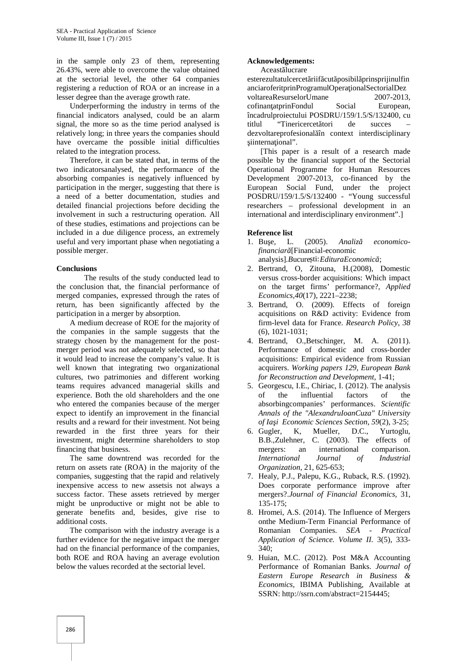in the sample only 23 of them, representing 26.43%, were able to overcome the value obtained at the sectorial level, the other 64 companies registering a reduction of ROA or an increase in a lesser degree than the average growth rate.

Underperforming the industry in terms of the financial indicators analysed, could be an alarm signal, the more so as the time period analysed is relatively long; in three years the companies should have overcame the possible initial difficulties related to the integration process.

Therefore, it can be stated that, in terms of the two indicatorsanalysed, the performance of the absorbing companies is negatively influenced by participation in the merger, suggesting that there is a need of a better documentation, studies and detailed financial projections before deciding the involvement in such a restructuring operation. All of these studies, estimations and projections can be included in a due diligence process, an extremely useful and very important phase when negotiating a possible merger.

### **Conclusions**

The results of the study conducted lead to the conclusion that, the financial performance of merged companies, expressed through the rates of return, has been significantly affected by the participation in a merger by absorption.

A medium decrease of ROE for the majority of the companies in the sample suggests that the strategy chosen by the management for the post merger period was not adequately selected, so that it would lead to increase the company's value. It is well known that integrating two organizational cultures, two patrimonies and different working teams requires advanced managerial skills and experience. Both the old shareholders and the one who entered the companies because of the merger expect to identify an improvement in the financial results and a reward for their investment. Not being rewarded in the first three years for their investment, might determine shareholders to stop financing that business.

The same downtrend was recorded for the return on assets rate (ROA) in the majority of the companies, suggesting that the rapid and relatively inexpensive access to new assetsis not always a success factor. These assets retrieved by merger might be unproductive or might not be able to generate benefits and, besides, give rise to additional costs.

The comparison with the industry average is a further evidence for the negative impact the merger had on the financial performance of the companies, both ROE and ROA having an average evolution below the values recorded at the sectorial level.

# **Acknowledgements:**

Aceast lucrare

esterezultatulcercet riif cut posibil prinsprijinulfin anciaroferitprinProgramulOpera ionalSectorialDez voltareaResurselorUmane 2007-2013. cofinan atprinFondul Social European, încadrulproiectului POSDRU/159/1.5/S/132400, cu titlul "Tinericercet tori de succes dezvoltareprofesional în context interdisciplinary iinterna ional".

[This paper is a result of a research made possible by the financial support of the Sectorial Operational Programme for Human Resources Development 2007-2013, co-financed by the European Social Fund, under the project POSDRU/159/1.5/S/132400 - "Young successful researchers – professional development in an international and interdisciplinary environment".]

# **Reference list**

- 1. Bu e, L. (2005). *Analiz economicofinanciar* [Financial-economic analysis].*Bucure* ti:*EdituraEconomic* ;
- 2. Bertrand, O, Zitouna, H.(2008), Domestic versus cross-border acquisitions: Which impact on the target firms' performance?, *Applied Economics,40*(17), 2221–2238;
- 3. Bertrand, O. (2009). Effects of foreign acquisitions on R&D activity: Evidence from firm-level data for France. *Research Policy*, *38* (6), 1021-1031;
- 4. Bertrand, O.,Betschinger, M. A. (2011). Performance of domestic and cross-border acquisitions: Empirical evidence from Russian acquirers. *Working papers 129, European Bank for Reconstruction and Development*, 1-41;
- 5. Georgescu, I.E., Chiriac, I. (2012). The analysis of the influential factors of the absorbingcompanies' performances. *Scientific Annals of the "AlexandruIoanCuza" University of Ia i Economic Sciences Section*, *59*(2), 3-25;
- 6. Gugler, K, Mueller, D.C., Yurtoglu, B.B.,Zulehner, C. (2003). The effects of mergers: an international comparison. *International Journal of Industrial Organization,* 21, 625-653;
- 7. Healy, P.J., Palepu, K.G., Ruback, R.S. (1992). Does corporate performance improve after mergers?.*Journal of Financial Economics,* 31, 135-175;
- 8. Hromei, A.S. (2014). The Influence of Mergers onthe Medium-Term Financial Performance of Romanian Companies. *SEA - Practical Application of Science. Volume II.* 3(5), 333- 340;
- 9. Huian, M.C. (2012). Post M&A Accounting Performance of Romanian Banks. *Journal of Eastern Europe Research in Business & Economics*, IBIMA Publishing, Available at SSRN: http://ssrn.com/abstract=2154445;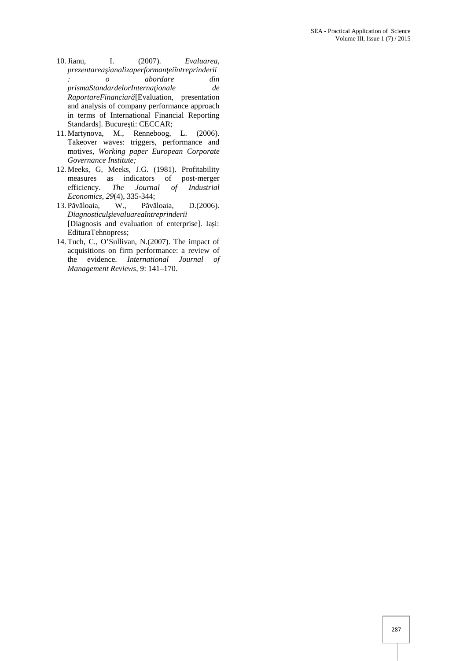- 10.Jianu, I. (2007). *Evaluarea, prezentareaşianalizaperformanţeiîntreprinderii : o abordare din* prismaStandardelorInterna *ionale* de *RaportareFinanciar* [Evaluation, presentation and analysis of company performance approach in terms of International Financial Reporting Standards]. Bucure ti: CECCAR;
- 11. Martynova, M., Renneboog, L. (2006). Takeover waves: triggers, performance and motives, *Working paper European Corporate Governance Institute;*
- 12. Meeks, G, Meeks, J.G. (1981). Profitability measures as indicators of post-merger efficiency. *The Journal of Industrial Economics, 29(4), 335-344;*<br>P v loaia, W., P v loaia,
- 13. P v loaia, W., P v loaia, D.(2006). *Diagnosticulşievaluareaîntreprinderii* [Diagnosis and evaluation of enterprise]. Ia i: EdituraTehnopress;
- 14. Tuch, C., O'Sullivan, N.(2007). The impact of acquisitions on firm performance: a review of the evidence. *International Journal of Management Reviews*, 9: 141–170.